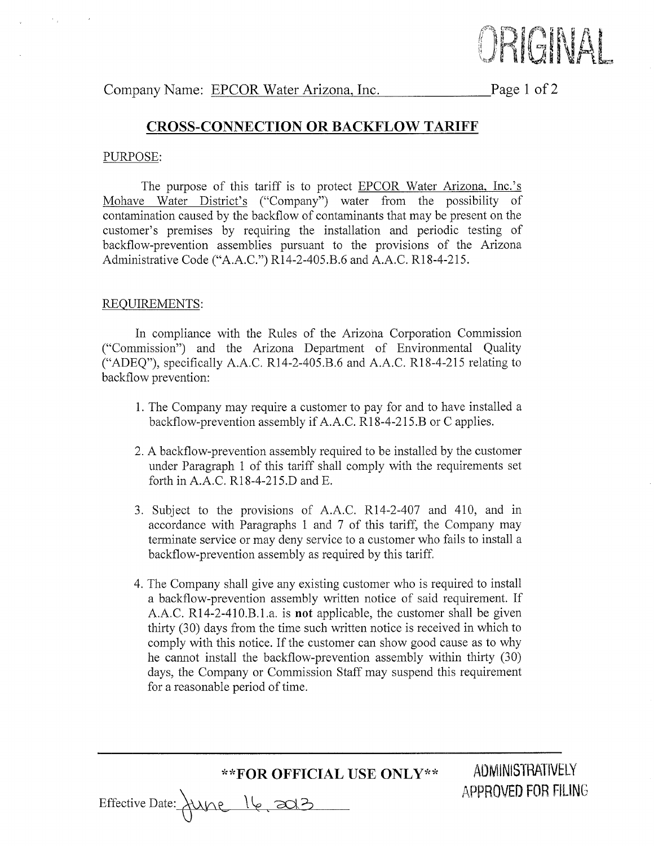

Page 1 of 2

## CROSS.CONNECTION OR BACKFLOW TARIFF

#### PURPOSE:

The purpose of this tariff is to protect **EPCOR** Water Arizona, Inc.'s Mohave Water District's ("Company") water from the possibility of contamination caused by the backflow of contaminants that may be present on the customer's premises by requiring the installation and periodic testing of backflow-prevention assemblies pursuant to the provisions of the Arizona Administrative Code ("4.4.C.") Rl4-2-405.B.6 and A.A.C. Rl8-4-215.

#### REQUIREMENTS:

In compliance with the Rules of the Arizoha Corporation Commission ("Commission") and the Arizona Department of Environmental Quality ("ADEQ"), specifically A.A.C. R14-2-405.8.6 and A.A.C. Rl8-4-215 relating to backflow prevention:

- 1. The Company may require a customer to pay for and to have installed a backflow-prevention assembly if A.A.C. R18-4-215.B or C applies.
- 2. A backflow-prevention assembly required to be installed by the customer under Paragraph 1 of this tariff shall comply with the requirements set forth in A.A.C. Rl8-4-215.D and E.
- 3. Subject to the provisions of A.A.C. R14-2-407 and 410, and in accordance with Paragraphs 1 and 7 of this tariff, the Company may terminate service or may deny service to a customer who fails to install a backflow-prevention assembly as required by this tariff.
- 4. The Company shall give any existing customer who is required to install a backflow-prevention assembly written notice of said requirement. If A.A.C. Rl4-2-410.8.1.a. is not applicable, the customer shall be given thirty (30) days from the time such written notice is received in which to comply with this notice. If the customer can show good cause as to why he cannot install the backflow-prevention assembly within thirty (30) days, the Company or Commission Staff may suspend this requirement for a reasonable period of time.

\*\*FOR OFFICIAL USE ONLY\*\* ADMINISTRATIVELY

Effective Date: \une l6 zot?

APPROVED FOR FILING